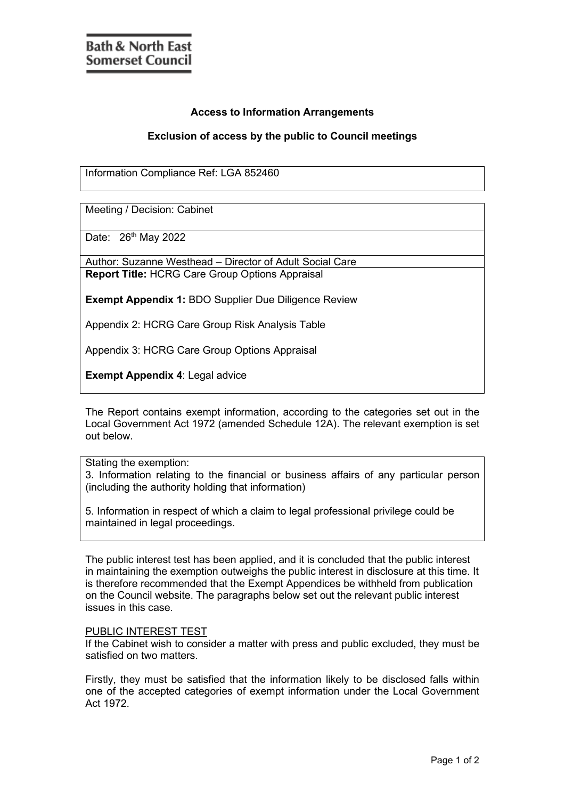## **Access to Information Arrangements**

## **Exclusion of access by the public to Council meetings**

Information Compliance Ref: LGA 852460

Meeting / Decision: Cabinet

Date: 26<sup>th</sup> May 2022

Author: Suzanne Westhead – Director of Adult Social Care **Report Title:** HCRG Care Group Options Appraisal

**Exempt Appendix 1:** BDO Supplier Due Diligence Review

Appendix 2: HCRG Care Group Risk Analysis Table

Appendix 3: HCRG Care Group Options Appraisal

**Exempt Appendix 4**: Legal advice

The Report contains exempt information, according to the categories set out in the Local Government Act 1972 (amended Schedule 12A). The relevant exemption is set out below.

Stating the exemption:

3. Information relating to the financial or business affairs of any particular person (including the authority holding that information)

5. Information in respect of which a claim to legal professional privilege could be maintained in legal proceedings.

The public interest test has been applied, and it is concluded that the public interest in maintaining the exemption outweighs the public interest in disclosure at this time. It is therefore recommended that the Exempt Appendices be withheld from publication on the Council website. The paragraphs below set out the relevant public interest issues in this case.

## PUBLIC INTEREST TEST

If the Cabinet wish to consider a matter with press and public excluded, they must be satisfied on two matters.

Firstly, they must be satisfied that the information likely to be disclosed falls within one of the accepted categories of exempt information under the Local Government Act 1972.